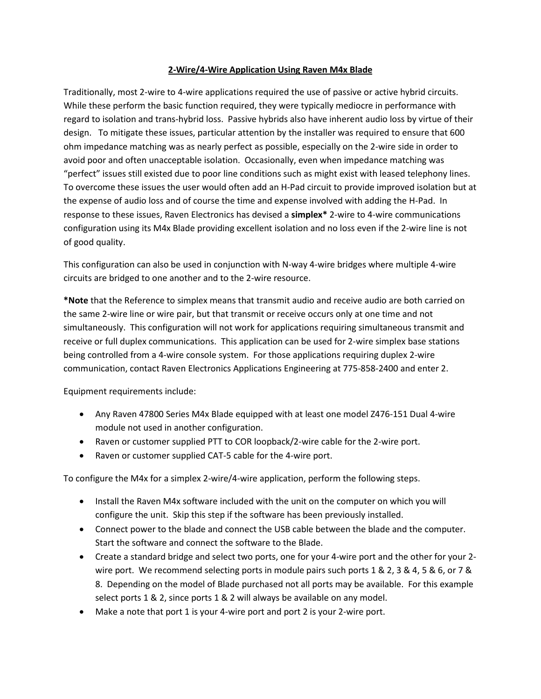## **2-Wire/4-Wire Application Using Raven M4x Blade**

Traditionally, most 2-wire to 4-wire applications required the use of passive or active hybrid circuits. While these perform the basic function required, they were typically mediocre in performance with regard to isolation and trans-hybrid loss. Passive hybrids also have inherent audio loss by virtue of their design. To mitigate these issues, particular attention by the installer was required to ensure that 600 ohm impedance matching was as nearly perfect as possible, especially on the 2-wire side in order to avoid poor and often unacceptable isolation. Occasionally, even when impedance matching was "perfect" issues still existed due to poor line conditions such as might exist with leased telephony lines. To overcome these issues the user would often add an H-Pad circuit to provide improved isolation but at the expense of audio loss and of course the time and expense involved with adding the H-Pad. In response to these issues, Raven Electronics has devised a **simplex\*** 2-wire to 4-wire communications configuration using its M4x Blade providing excellent isolation and no loss even if the 2-wire line is not of good quality.

This configuration can also be used in conjunction with N-way 4-wire bridges where multiple 4-wire circuits are bridged to one another and to the 2-wire resource.

**\*Note** that the Reference to simplex means that transmit audio and receive audio are both carried on the same 2-wire line or wire pair, but that transmit or receive occurs only at one time and not simultaneously. This configuration will not work for applications requiring simultaneous transmit and receive or full duplex communications. This application can be used for 2-wire simplex base stations being controlled from a 4-wire console system. For those applications requiring duplex 2-wire communication, contact Raven Electronics Applications Engineering at 775-858-2400 and enter 2.

Equipment requirements include:

- Any Raven 47800 Series M4x Blade equipped with at least one model Z476-151 Dual 4-wire module not used in another configuration.
- Raven or customer supplied PTT to COR loopback/2-wire cable for the 2-wire port.
- Raven or customer supplied CAT-5 cable for the 4-wire port.

To configure the M4x for a simplex 2-wire/4-wire application, perform the following steps.

- Install the Raven M4x software included with the unit on the computer on which you will configure the unit. Skip this step if the software has been previously installed.
- Connect power to the blade and connect the USB cable between the blade and the computer. Start the software and connect the software to the Blade.
- Create a standard bridge and select two ports, one for your 4-wire port and the other for your 2 wire port. We recommend selecting ports in module pairs such ports 1 & 2, 3 & 4, 5 & 6, or 7 & 8. Depending on the model of Blade purchased not all ports may be available. For this example select ports 1 & 2, since ports 1 & 2 will always be available on any model.
- Make a note that port 1 is your 4-wire port and port 2 is your 2-wire port.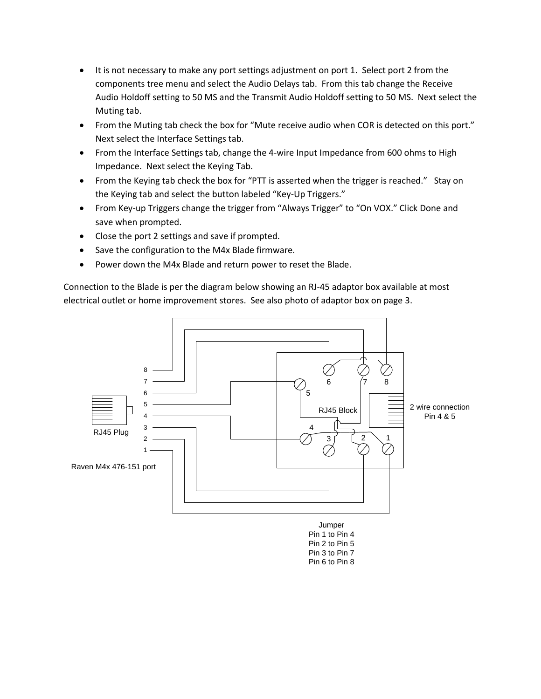- It is not necessary to make any port settings adjustment on port 1. Select port 2 from the components tree menu and select the Audio Delays tab. From this tab change the Receive Audio Holdoff setting to 50 MS and the Transmit Audio Holdoff setting to 50 MS. Next select the Muting tab.
- From the Muting tab check the box for "Mute receive audio when COR is detected on this port." Next select the Interface Settings tab.
- From the Interface Settings tab, change the 4-wire Input Impedance from 600 ohms to High Impedance. Next select the Keying Tab.
- From the Keying tab check the box for "PTT is asserted when the trigger is reached." Stay on the Keying tab and select the button labeled "Key-Up Triggers."
- From Key-up Triggers change the trigger from "Always Trigger" to "On VOX." Click Done and save when prompted.
- Close the port 2 settings and save if prompted.
- Save the configuration to the M4x Blade firmware.
- Power down the M4x Blade and return power to reset the Blade.

Connection to the Blade is per the diagram below showing an RJ-45 adaptor box available at most electrical outlet or home improvement stores. See also photo of adaptor box on page 3.



Pin 2 to Pin 5 Pin 3 to Pin 7 Pin 6 to Pin 8